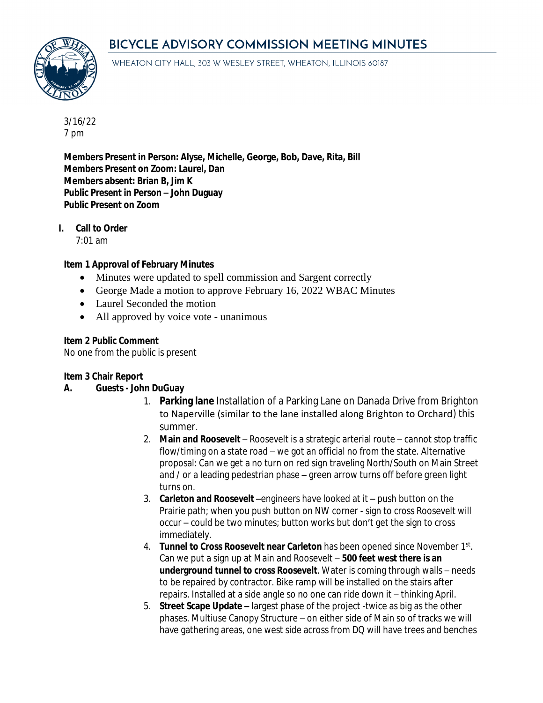# BICYCLE ADVISORY COMMISSION MEETING MINUTES



WHEATON CITY HALL, 303 W WESLEY STREET, WHEATON, ILLINOIS 60187

3/16/22 7 pm

**Members Present in Person: Alyse, Michelle, George, Bob, Dave, Rita, Bill Members Present on Zoom: Laurel, Dan Members absent: Brian B, Jim K Public Present in Person – John Duguay Public Present on Zoom**

**I. Call to Order**

7:01 am

### **Item 1 Approval of February Minutes**

- Minutes were updated to spell commission and Sargent correctly
- George Made a motion to approve February 16, 2022 WBAC Minutes
- Laurel Seconded the motion
- All approved by voice vote unanimous

#### **Item 2 Public Comment**

No one from the public is present

### **Item 3 Chair Report**

### **A. Guests - John DuGuay**

- 1. **Parking lane** Installation of a Parking Lane on Danada Drive from Brighton to Naperville (similar to the lane installed along Brighton to Orchard) this summer.
- 2. **Main and Roosevelt** Roosevelt is a strategic arterial route cannot stop traffic flow/timing on a state road – we got an official no from the state. Alternative proposal: Can we get a no turn on red sign traveling North/South on Main Street and / or a leading pedestrian phase – green arrow turns off before green light turns on.
- 3. **Carleton and Roosevelt** –engineers have looked at it push button on the Prairie path; when you push button on NW corner - sign to cross Roosevelt will occur – could be two minutes; button works but don't get the sign to cross immediately.
- 4. **Tunnel to Cross Roosevelt near Carleton** has been opened since November 1st . Can we put a sign up at Main and Roosevelt – **500 feet west there is an underground tunnel to cross Roosevelt**. Water is coming through walls – needs to be repaired by contractor. Bike ramp will be installed on the stairs after repairs. Installed at a side angle so no one can ride down it – thinking April.
- 5. **Street Scape Update –** largest phase of the project -twice as big as the other phases. Multiuse Canopy Structure – on either side of Main so of tracks we will have gathering areas, one west side across from DQ will have trees and benches